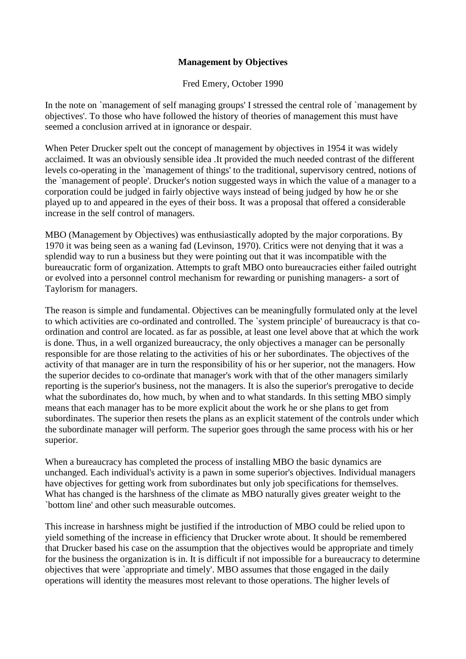## **Management by Objectives**

Fred Emery, October 1990

In the note on `management of self managing groups' I stressed the central role of `management by objectives'. To those who have followed the history of theories of management this must have seemed a conclusion arrived at in ignorance or despair.

When Peter Drucker spelt out the concept of management by objectives in 1954 it was widely acclaimed. It was an obviously sensible idea .It provided the much needed contrast of the different levels co-operating in the `management of things' to the traditional, supervisory centred, notions of the `management of people'. Drucker's notion suggested ways in which the value of a manager to a corporation could be judged in fairly objective ways instead of being judged by how he or she played up to and appeared in the eyes of their boss. It was a proposal that offered a considerable increase in the self control of managers.

MBO (Management by Objectives) was enthusiastically adopted by the major corporations. By 1970 it was being seen as a waning fad (Levinson, 1970). Critics were not denying that it was a splendid way to run a business but they were pointing out that it was incompatible with the bureaucratic form of organization. Attempts to graft MBO onto bureaucracies either failed outright or evolved into a personnel control mechanism for rewarding or punishing managers- a sort of Taylorism for managers.

The reason is simple and fundamental. Objectives can be meaningfully formulated only at the level to which activities are co-ordinated and controlled. The `system principle' of bureaucracy is that coordination and control are located. as far as possible, at least one level above that at which the work is done. Thus, in a well organized bureaucracy, the only objectives a manager can be personally responsible for are those relating to the activities of his or her subordinates. The objectives of the activity of that manager are in turn the responsibility of his or her superior, not the managers. How the superior decides to co-ordinate that manager's work with that of the other managers similarly reporting is the superior's business, not the managers. It is also the superior's prerogative to decide what the subordinates do, how much, by when and to what standards. In this setting MBO simply means that each manager has to be more explicit about the work he or she plans to get from subordinates. The superior then resets the plans as an explicit statement of the controls under which the subordinate manager will perform. The superior goes through the same process with his or her superior.

When a bureaucracy has completed the process of installing MBO the basic dynamics are unchanged. Each individual's activity is a pawn in some superior's objectives. Individual managers have objectives for getting work from subordinates but only job specifications for themselves. What has changed is the harshness of the climate as MBO naturally gives greater weight to the `bottom line' and other such measurable outcomes.

This increase in harshness might be justified if the introduction of MBO could be relied upon to yield something of the increase in efficiency that Drucker wrote about. It should be remembered that Drucker based his case on the assumption that the objectives would be appropriate and timely for the business the organization is in. It is difficult if not impossible for a bureaucracy to determine objectives that were `appropriate and timely'. MBO assumes that those engaged in the daily operations will identity the measures most relevant to those operations. The higher levels of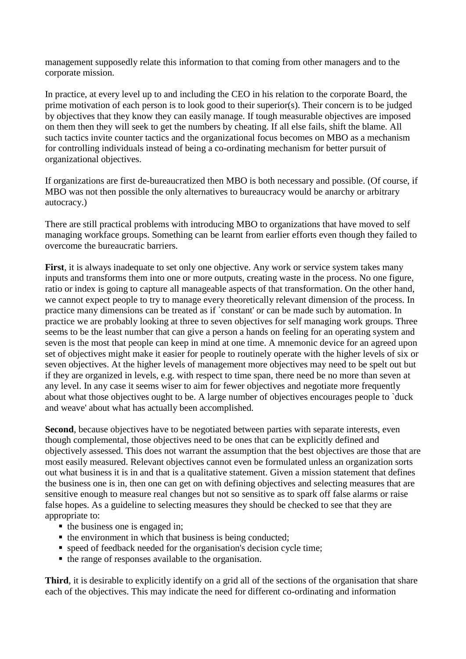management supposedly relate this information to that coming from other managers and to the corporate mission.

In practice, at every level up to and including the CEO in his relation to the corporate Board, the prime motivation of each person is to look good to their superior(s). Their concern is to be judged by objectives that they know they can easily manage. If tough measurable objectives are imposed on them then they will seek to get the numbers by cheating. If all else fails, shift the blame. All such tactics invite counter tactics and the organizational focus becomes on MBO as a mechanism for controlling individuals instead of being a co-ordinating mechanism for better pursuit of organizational objectives.

If organizations are first de-bureaucratized then MBO is both necessary and possible. (Of course, if MBO was not then possible the only alternatives to bureaucracy would be anarchy or arbitrary autocracy.)

There are still practical problems with introducing MBO to organizations that have moved to self managing workface groups. Something can be learnt from earlier efforts even though they failed to overcome the bureaucratic barriers.

First, it is always inadequate to set only one objective. Any work or service system takes many inputs and transforms them into one or more outputs, creating waste in the process. No one figure, ratio or index is going to capture all manageable aspects of that transformation. On the other hand, we cannot expect people to try to manage every theoretically relevant dimension of the process. In practice many dimensions can be treated as if `constant' or can be made such by automation. In practice we are probably looking at three to seven objectives for self managing work groups. Three seems to be the least number that can give a person a hands on feeling for an operating system and seven is the most that people can keep in mind at one time. A mnemonic device for an agreed upon set of objectives might make it easier for people to routinely operate with the higher levels of six or seven objectives. At the higher levels of management more objectives may need to be spelt out but if they are organized in levels, e.g. with respect to time span, there need be no more than seven at any level. In any case it seems wiser to aim for fewer objectives and negotiate more frequently about what those objectives ought to be. A large number of objectives encourages people to `duck and weave' about what has actually been accomplished.

**Second**, because objectives have to be negotiated between parties with separate interests, even though complemental, those objectives need to be ones that can be explicitly defined and objectively assessed. This does not warrant the assumption that the best objectives are those that are most easily measured. Relevant objectives cannot even be formulated unless an organization sorts out what business it is in and that is a qualitative statement. Given a mission statement that defines the business one is in, then one can get on with defining objectives and selecting measures that are sensitive enough to measure real changes but not so sensitive as to spark off false alarms or raise false hopes. As a guideline to selecting measures they should be checked to see that they are appropriate to:

- $\blacksquare$  the business one is engaged in;
- $\blacksquare$  the environment in which that business is being conducted;
- **Exercise 1** speed of feedback needed for the organisation's decision cycle time;
- the range of responses available to the organisation.

Third, it is desirable to explicitly identify on a grid all of the sections of the organisation that share each of the objectives. This may indicate the need for different co-ordinating and information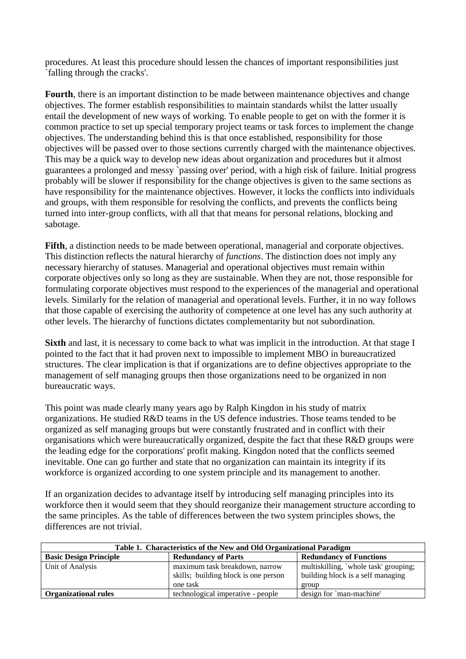procedures. At least this procedure should lessen the chances of important responsibilities just `falling through the cracks'.

**Fourth**, there is an important distinction to be made between maintenance objectives and change objectives. The former establish responsibilities to maintain standards whilst the latter usually entail the development of new ways of working. To enable people to get on with the former it is common practice to set up special temporary project teams or task forces to implement the change objectives. The understanding behind this is that once established, responsibility for those objectives will be passed over to those sections currently charged with the maintenance objectives. This may be a quick way to develop new ideas about organization and procedures but it almost guarantees a prolonged and messy `passing over' period, with a high risk of failure. Initial progress probably will be slower if responsibility for the change objectives is given to the same sections as have responsibility for the maintenance objectives. However, it locks the conflicts into individuals and groups, with them responsible for resolving the conflicts, and prevents the conflicts being turned into inter-group conflicts, with all that that means for personal relations, blocking and sabotage.

**Fifth**, a distinction needs to be made between operational, managerial and corporate objectives. This distinction reflects the natural hierarchy of *functions*. The distinction does not imply any necessary hierarchy of statuses. Managerial and operational objectives must remain within corporate objectives only so long as they are sustainable. When they are not, those responsible for formulating corporate objectives must respond to the experiences of the managerial and operational levels. Similarly for the relation of managerial and operational levels. Further, it in no way follows that those capable of exercising the authority of competence at one level has any such authority at other levels. The hierarchy of functions dictates complementarity but not subordination.

**Sixth** and last, it is necessary to come back to what was implicit in the introduction. At that stage I pointed to the fact that it had proven next to impossible to implement MBO in bureaucratized structures. The clear implication is that if organizations are to define objectives appropriate to the management of self managing groups then those organizations need to be organized in non bureaucratic ways.

This point was made clearly many years ago by Ralph Kingdon in his study of matrix organizations. He studied R&D teams in the US defence industries. Those teams tended to be organized as self managing groups but were constantly frustrated and in conflict with their organisations which were bureaucratically organized, despite the fact that these R&D groups were the leading edge for the corporations' profit making. Kingdon noted that the conflicts seemed inevitable. One can go further and state that no organization can maintain its integrity if its workforce is organized according to one system principle and its management to another.

If an organization decides to advantage itself by introducing self managing principles into its workforce then it would seem that they should reorganize their management structure according to the same principles. As the table of differences between the two system principles shows, the differences are not trivial.

| Table 1. Characteristics of the New and Old Organizational Paradigm |                                                                                    |                                                                                     |  |
|---------------------------------------------------------------------|------------------------------------------------------------------------------------|-------------------------------------------------------------------------------------|--|
| <b>Basic Design Principle</b>                                       | <b>Redundancy of Parts</b>                                                         | <b>Redundancy of Functions</b>                                                      |  |
| Unit of Analysis                                                    | maximum task breakdown, narrow<br>skills; building block is one person<br>one task | multiskilling, `whole task' grouping;<br>building block is a self managing<br>group |  |
| <b>Organizational rules</b>                                         | technological imperative - people                                                  | design for `man-machine'                                                            |  |